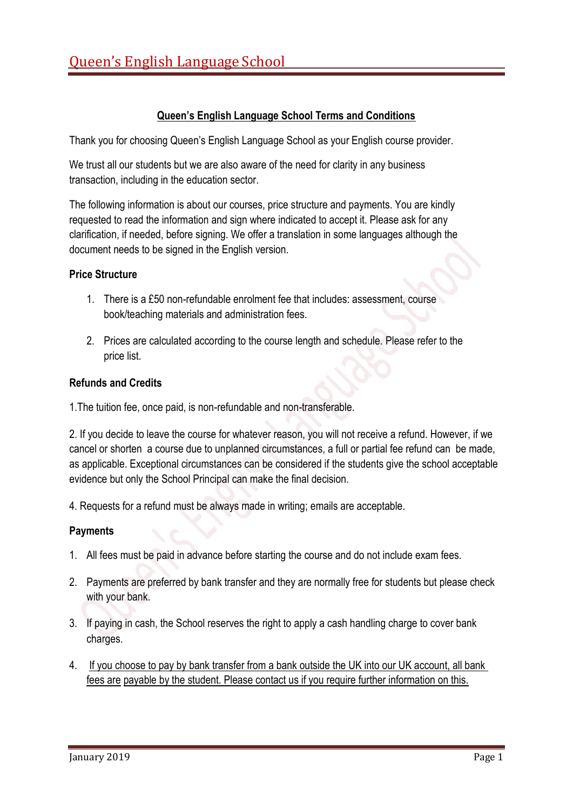# **Queen's English Language School Terms and Conditions**

Thank you for choosing Queen's English Language School as your English course provider.

We trust all our students but we are also aware of the need for clarity in any business transaction, including in the education sector.

The following information is about our courses, price structure and payments. You are kindly requested to read the information and sign where indicated to accept it. Please ask for any clarification, if needed, before signing. We offer a translation in some languages although the document needs to be signed in the English version.

## **Price Structure**

- 1. There is a £50 non-refundable enrolment fee that includes: assessment, course book/teaching materials and administration fees.
- 2. Prices are calculated according to the course length and schedule. Please refer to the price list.

## **Refunds and Credits**

1.The tuition fee, once paid, is non-refundable and non-transferable.

2. If you decide to leave the course for whatever reason, you will not receive a refund. However, if we cancel or shorten a course due to unplanned circumstances, a full or partial fee refund can be made, as applicable. Exceptional circumstances can be considered if the students give the school acceptable evidence but only the School Principal can make the final decision.

4. Requests for a refund must be always made in writing; emails are acceptable.

# **Payments**

- 1. All fees must be paid in advance before starting the course and do not include exam fees.
- 2. Payments are preferred by bank transfer and they are normally free for students but please check with your bank.
- 3. If paying in cash, the School reserves the right to apply a cash handling charge to cover bank charges.
- 4. If you choose to pay by bank transfer from a bank outside the UK into our UK account, all bank fees are payable by the student. Please contact us if you require further information on this.